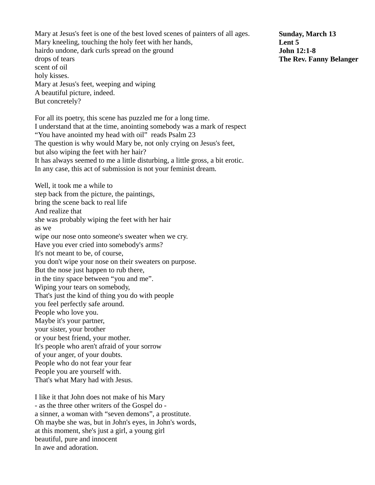Mary at Jesus's feet is one of the best loved scenes of painters of all ages. Mary kneeling, touching the holy feet with her hands, hairdo undone, dark curls spread on the ground drops of tears scent of oil holy kisses. Mary at Jesus's feet, weeping and wiping A beautiful picture, indeed. But concretely? For all its poetry, this scene has puzzled me for a long time. I understand that at the time, anointing somebody was a mark of respect "You have anointed my head with oil" reads Psalm 23 The question is why would Mary be, not only crying on Jesus's feet, but also wiping the feet with her hair? It has always seemed to me a little disturbing, a little gross, a bit erotic. In any case, this act of submission is not your feminist dream. Well, it took me a while to step back from the picture, the paintings, bring the scene back to real life And realize that she was probably wiping the feet with her hair as we wipe our nose onto someone's sweater when we cry. Have you ever cried into somebody's arms? It's not meant to be, of course, you don't wipe your nose on their sweaters on purpose. But the nose just happen to rub there, in the tiny space between "you and me". Wiping your tears on somebody, That's just the kind of thing you do with people you feel perfectly safe around. People who love you. Maybe it's your partner, your sister, your brother or your best friend, your mother. It's people who aren't afraid of your sorrow of your anger, of your doubts. People who do not fear your fear People you are yourself with. That's what Mary had with Jesus. I like it that John does not make of his Mary

- as the three other writers of the Gospel do a sinner, a woman with "seven demons", a prostitute. Oh maybe she was, but in John's eyes, in John's words, at this moment, she's just a girl, a young girl beautiful, pure and innocent In awe and adoration.

**Sunday, March 13 Lent 5 John 12:1-8 The Rev. Fanny Belanger**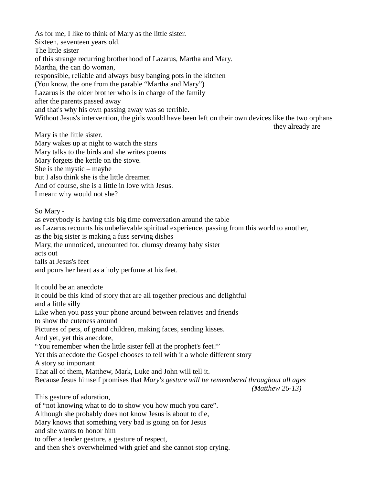As for me, I like to think of Mary as the little sister. Sixteen, seventeen years old. The little sister of this strange recurring brotherhood of Lazarus, Martha and Mary. Martha, the can do woman, responsible, reliable and always busy banging pots in the kitchen (You know, the one from the parable "Martha and Mary") Lazarus is the older brother who is in charge of the family after the parents passed away and that's why his own passing away was so terrible. Without Jesus's intervention, the girls would have been left on their own devices like the two orphans they already are Mary is the little sister. Mary wakes up at night to watch the stars Mary talks to the birds and she writes poems Mary forgets the kettle on the stove. She is the mystic – maybe but I also think she is the little dreamer. And of course, she is a little in love with Jesus. I mean: why would not she? So Mary as everybody is having this big time conversation around the table as Lazarus recounts his unbelievable spiritual experience, passing from this world to another, as the big sister is making a fuss serving dishes Mary, the unnoticed, uncounted for, clumsy dreamy baby sister acts out falls at Jesus's feet

and pours her heart as a holy perfume at his feet.

It could be an anecdote

It could be this kind of story that are all together precious and delightful and a little silly Like when you pass your phone around between relatives and friends to show the cuteness around Pictures of pets, of grand children, making faces, sending kisses. And yet, yet this anecdote, "You remember when the little sister fell at the prophet's feet?" Yet this anecdote the Gospel chooses to tell with it a whole different story A story so important That all of them, Matthew, Mark, Luke and John will tell it. Because Jesus himself promises that *Mary's gesture will be remembered throughout all ages (Matthew 26-13)* This gesture of adoration, of "not knowing what to do to show you how much you care". Although she probably does not know Jesus is about to die, Mary knows that something very bad is going on for Jesus and she wants to honor him to offer a tender gesture, a gesture of respect,

and then she's overwhelmed with grief and she cannot stop crying.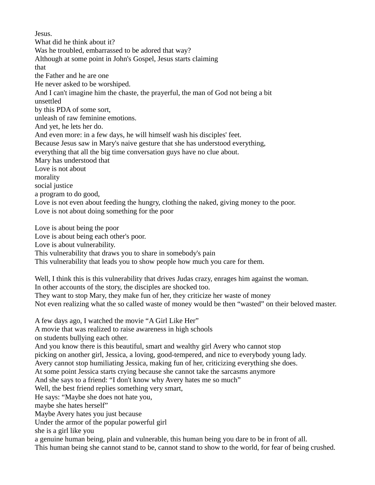Jesus. What did he think about it? Was he troubled, embarrassed to be adored that way? Although at some point in John's Gospel, Jesus starts claiming that the Father and he are one He never asked to be worshiped. And I can't imagine him the chaste, the prayerful, the man of God not being a bit unsettled by this PDA of some sort, unleash of raw feminine emotions. And yet, he lets her do. And even more: in a few days, he will himself wash his disciples' feet. Because Jesus saw in Mary's naive gesture that she has understood everything, everything that all the big time conversation guys have no clue about. Mary has understood that Love is not about morality social justice a program to do good, Love is not even about feeding the hungry, clothing the naked, giving money to the poor. Love is not about doing something for the poor Love is about being the poor

Love is about being each other's poor. Love is about vulnerability. This vulnerability that draws you to share in somebody's pain This vulnerability that leads you to show people how much you care for them.

Well, I think this is this vulnerability that drives Judas crazy, enrages him against the woman. In other accounts of the story, the disciples are shocked too. They want to stop Mary, they make fun of her, they criticize her waste of money Not even realizing what the so called waste of money would be then "wasted" on their beloved master.

A few days ago, I watched the movie "A Girl Like Her" A movie that was realized to raise awareness in high schools on students bullying each other. And you know there is this beautiful, smart and wealthy girl Avery who cannot stop picking on another girl, Jessica, a loving, good-tempered, and nice to everybody young lady. Avery cannot stop humiliating Jessica, making fun of her, criticizing everything she does. At some point Jessica starts crying because she cannot take the sarcasms anymore And she says to a friend: "I don't know why Avery hates me so much" Well, the best friend replies something very smart, He says: "Maybe she does not hate you, maybe she hates herself" Maybe Avery hates you just because Under the armor of the popular powerful girl she is a girl like you a genuine human being, plain and vulnerable, this human being you dare to be in front of all. This human being she cannot stand to be, cannot stand to show to the world, for fear of being crushed.